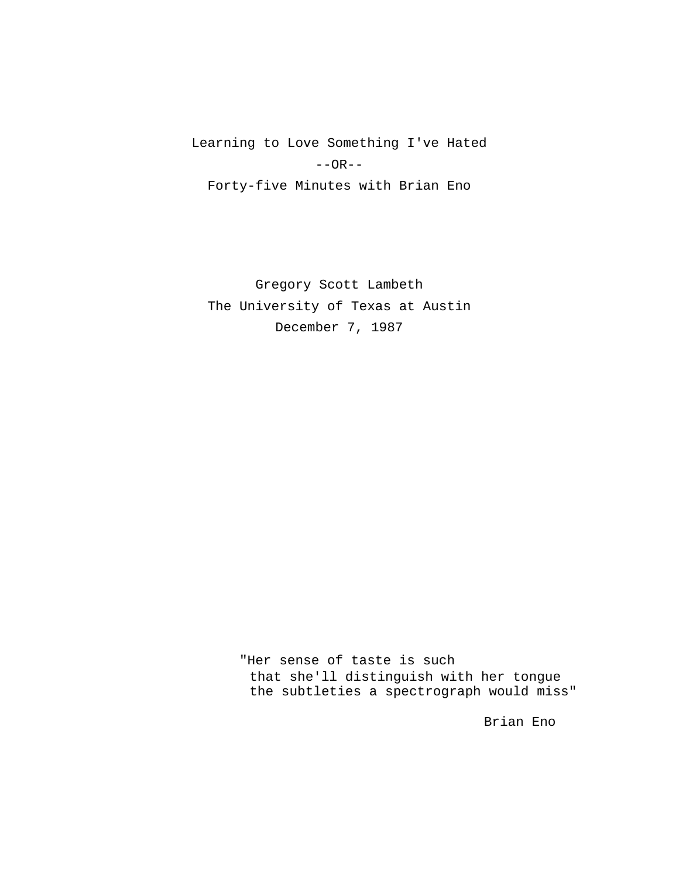Learning to Love Something I've Hated  $--OR--$ Forty-five Minutes with Brian Eno

Gregory Scott Lambeth The University of Texas at Austin December 7, 1987

> "Her sense of taste is such that she'll distinguish with her tongue the subtleties a spectrograph would miss"

> > Brian Eno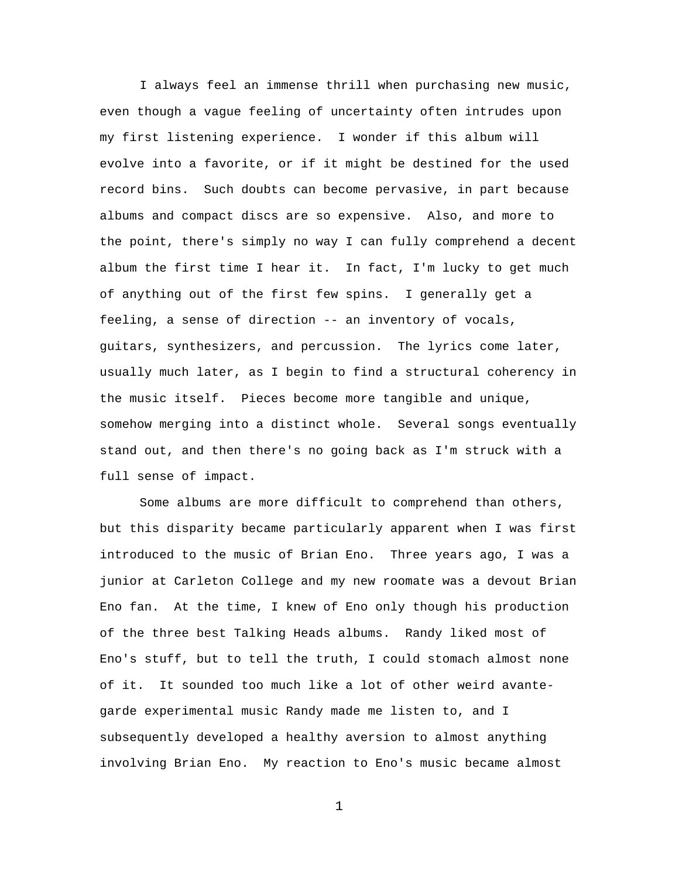I always feel an immense thrill when purchasing new music, even though a vague feeling of uncertainty often intrudes upon my first listening experience. I wonder if this album will evolve into a favorite, or if it might be destined for the used record bins. Such doubts can become pervasive, in part because albums and compact discs are so expensive. Also, and more to the point, there's simply no way I can fully comprehend a decent album the first time I hear it. In fact, I'm lucky to get much of anything out of the first few spins. I generally get a feeling, a sense of direction -- an inventory of vocals, guitars, synthesizers, and percussion. The lyrics come later, usually much later, as I begin to find a structural coherency in the music itself. Pieces become more tangible and unique, somehow merging into a distinct whole. Several songs eventually stand out, and then there's no going back as I'm struck with a full sense of impact.

Some albums are more difficult to comprehend than others, but this disparity became particularly apparent when I was first introduced to the music of Brian Eno. Three years ago, I was a junior at Carleton College and my new roomate was a devout Brian Eno fan. At the time, I knew of Eno only though his production of the three best Talking Heads albums. Randy liked most of Eno's stuff, but to tell the truth, I could stomach almost none of it. It sounded too much like a lot of other weird avantegarde experimental music Randy made me listen to, and I subsequently developed a healthy aversion to almost anything involving Brian Eno. My reaction to Eno's music became almost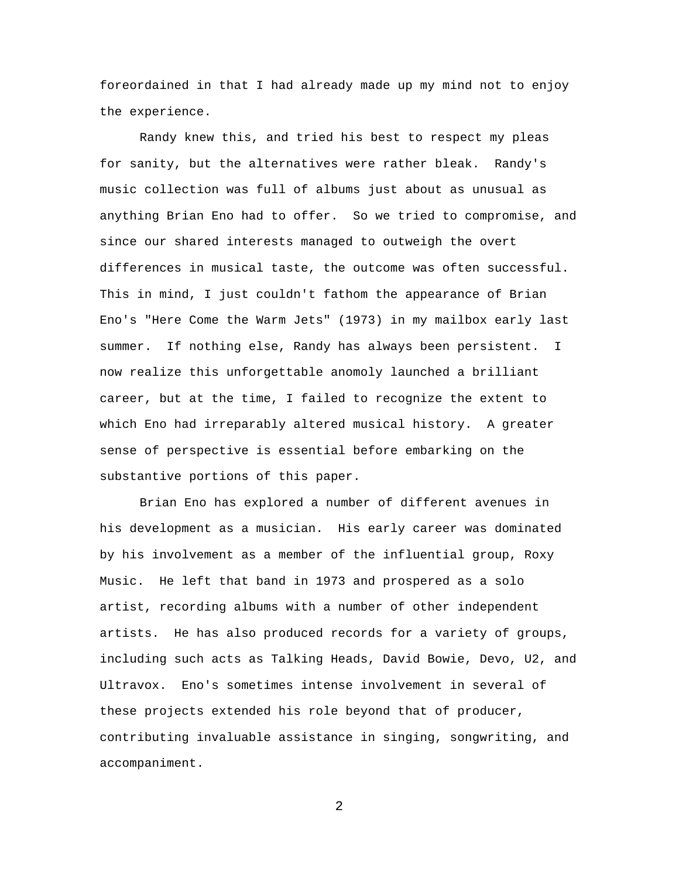foreordained in that I had already made up my mind not to enjoy the experience.

Randy knew this, and tried his best to respect my pleas for sanity, but the alternatives were rather bleak. Randy's music collection was full of albums just about as unusual as anything Brian Eno had to offer. So we tried to compromise, and since our shared interests managed to outweigh the overt differences in musical taste, the outcome was often successful. This in mind, I just couldn't fathom the appearance of Brian Eno's "Here Come the Warm Jets" (1973) in my mailbox early last summer. If nothing else, Randy has always been persistent. I now realize this unforgettable anomoly launched a brilliant career, but at the time, I failed to recognize the extent to which Eno had irreparably altered musical history. A greater sense of perspective is essential before embarking on the substantive portions of this paper.

Brian Eno has explored a number of different avenues in his development as a musician. His early career was dominated by his involvement as a member of the influential group, Roxy Music. He left that band in 1973 and prospered as a solo artist, recording albums with a number of other independent artists. He has also produced records for a variety of groups, including such acts as Talking Heads, David Bowie, Devo, U2, and Ultravox. Eno's sometimes intense involvement in several of these projects extended his role beyond that of producer, contributing invaluable assistance in singing, songwriting, and accompaniment.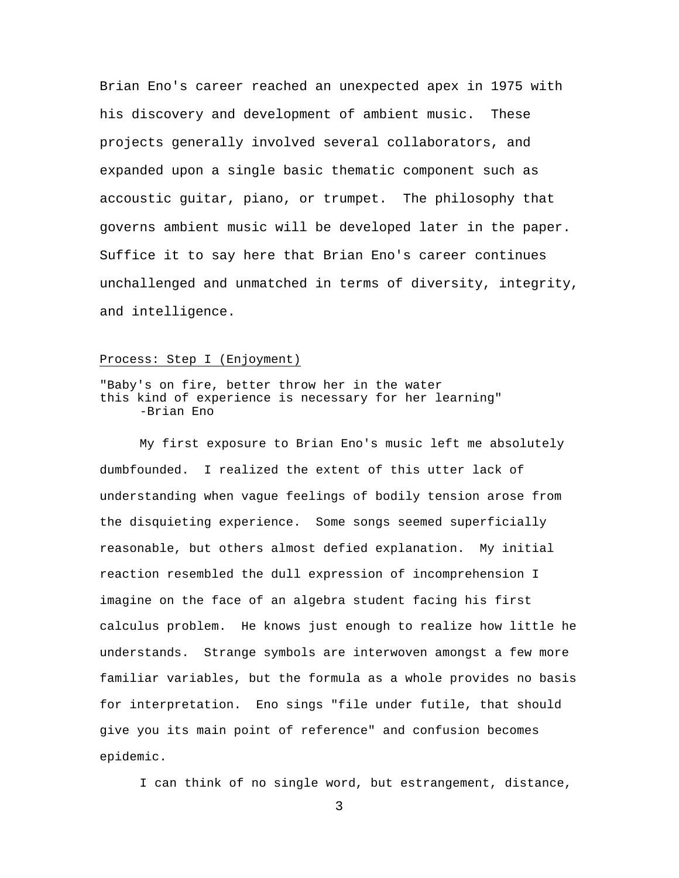Brian Eno's career reached an unexpected apex in 1975 with his discovery and development of ambient music. These projects generally involved several collaborators, and expanded upon a single basic thematic component such as accoustic guitar, piano, or trumpet. The philosophy that governs ambient music will be developed later in the paper. Suffice it to say here that Brian Eno's career continues unchallenged and unmatched in terms of diversity, integrity, and intelligence.

#### Process: Step I (Enjoyment)

# "Baby's on fire, better throw her in the water this kind of experience is necessary for her learning" -Brian Eno

My first exposure to Brian Eno's music left me absolutely dumbfounded. I realized the extent of this utter lack of understanding when vague feelings of bodily tension arose from the disquieting experience. Some songs seemed superficially reasonable, but others almost defied explanation. My initial reaction resembled the dull expression of incomprehension I imagine on the face of an algebra student facing his first calculus problem. He knows just enough to realize how little he understands. Strange symbols are interwoven amongst a few more familiar variables, but the formula as a whole provides no basis for interpretation. Eno sings "file under futile, that should give you its main point of reference" and confusion becomes epidemic.

I can think of no single word, but estrangement, distance,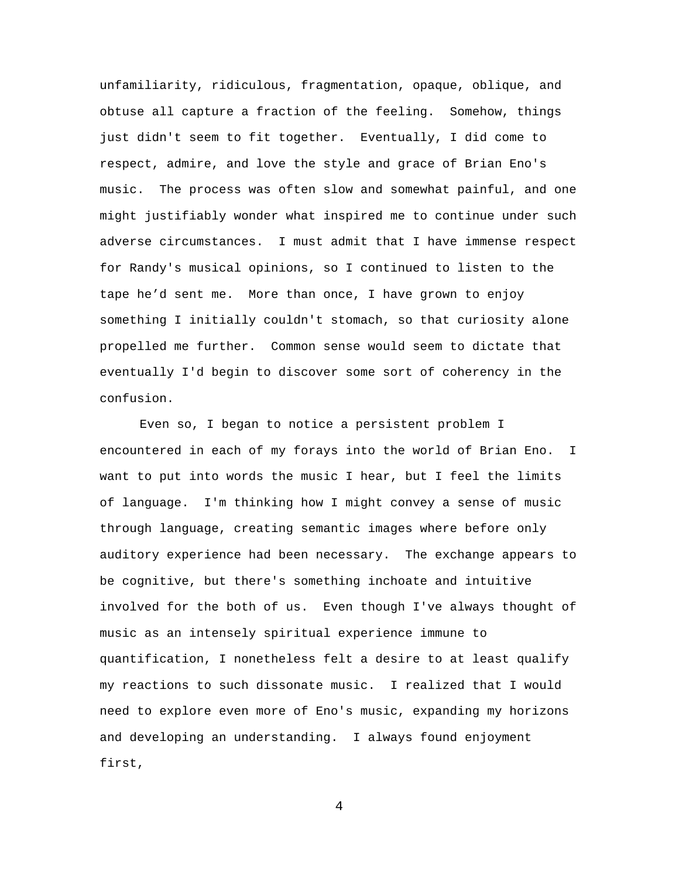unfamiliarity, ridiculous, fragmentation, opaque, oblique, and obtuse all capture a fraction of the feeling. Somehow, things just didn't seem to fit together. Eventually, I did come to respect, admire, and love the style and grace of Brian Eno's music. The process was often slow and somewhat painful, and one might justifiably wonder what inspired me to continue under such adverse circumstances. I must admit that I have immense respect for Randy's musical opinions, so I continued to listen to the tape he'd sent me. More than once, I have grown to enjoy something I initially couldn't stomach, so that curiosity alone propelled me further. Common sense would seem to dictate that eventually I'd begin to discover some sort of coherency in the confusion.

Even so, I began to notice a persistent problem I encountered in each of my forays into the world of Brian Eno. I want to put into words the music I hear, but I feel the limits of language. I'm thinking how I might convey a sense of music through language, creating semantic images where before only auditory experience had been necessary. The exchange appears to be cognitive, but there's something inchoate and intuitive involved for the both of us. Even though I've always thought of music as an intensely spiritual experience immune to quantification, I nonetheless felt a desire to at least qualify my reactions to such dissonate music. I realized that I would need to explore even more of Eno's music, expanding my horizons and developing an understanding. I always found enjoyment first,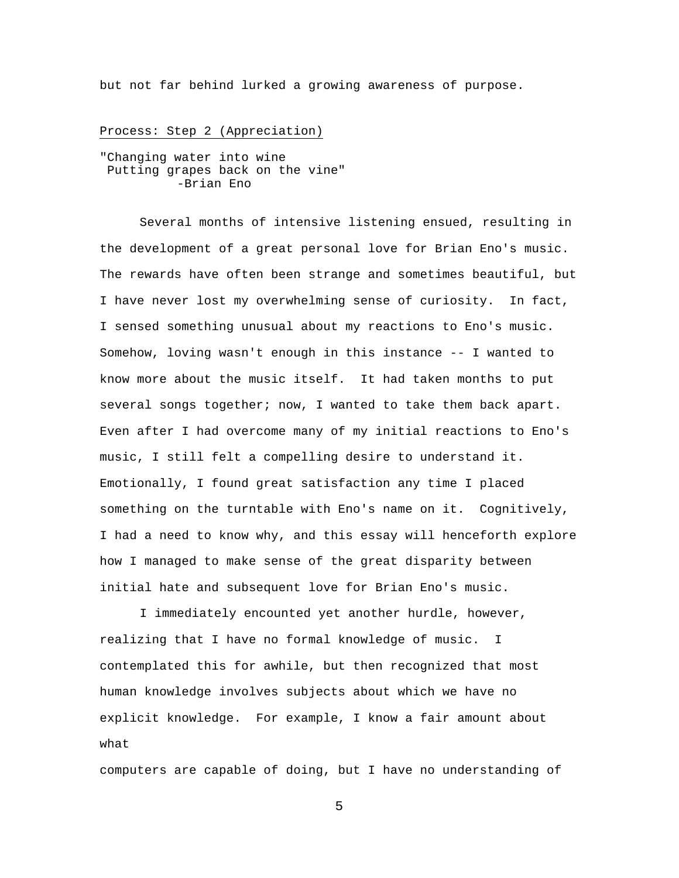but not far behind lurked a growing awareness of purpose.

#### Process: Step 2 (Appreciation)

"Changing water into wine Putting grapes back on the vine" -Brian Eno

Several months of intensive listening ensued, resulting in the development of a great personal love for Brian Eno's music. The rewards have often been strange and sometimes beautiful, but I have never lost my overwhelming sense of curiosity. In fact, I sensed something unusual about my reactions to Eno's music. Somehow, loving wasn't enough in this instance -- I wanted to know more about the music itself. It had taken months to put several songs together; now, I wanted to take them back apart. Even after I had overcome many of my initial reactions to Eno's music, I still felt a compelling desire to understand it. Emotionally, I found great satisfaction any time I placed something on the turntable with Eno's name on it. Cognitively, I had a need to know why, and this essay will henceforth explore how I managed to make sense of the great disparity between initial hate and subsequent love for Brian Eno's music.

I immediately encounted yet another hurdle, however, realizing that I have no formal knowledge of music. I contemplated this for awhile, but then recognized that most human knowledge involves subjects about which we have no explicit knowledge. For example, I know a fair amount about what

computers are capable of doing, but I have no understanding of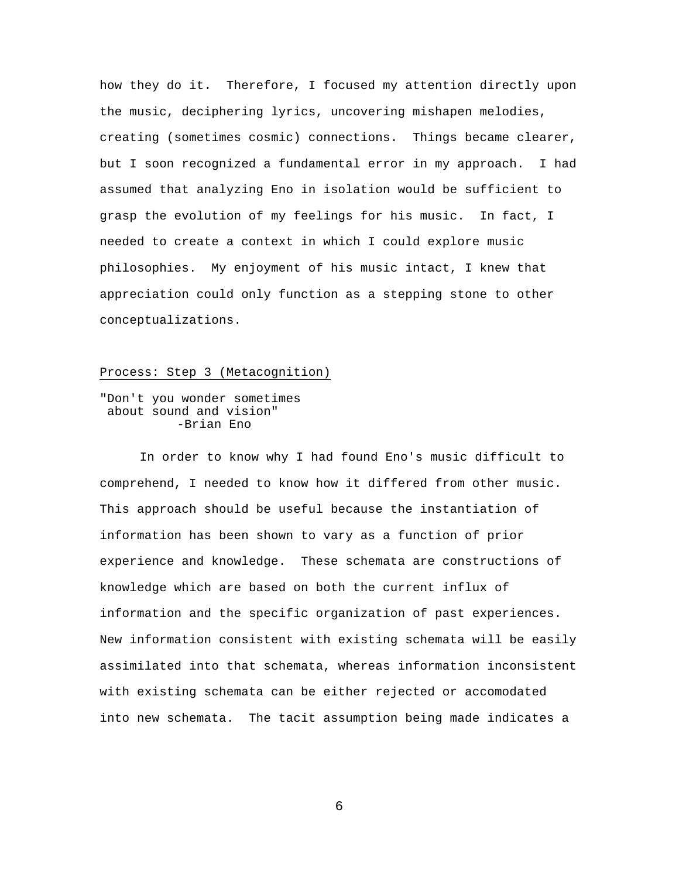how they do it. Therefore, I focused my attention directly upon the music, deciphering lyrics, uncovering mishapen melodies, creating (sometimes cosmic) connections. Things became clearer, but I soon recognized a fundamental error in my approach. I had assumed that analyzing Eno in isolation would be sufficient to grasp the evolution of my feelings for his music. In fact, I needed to create a context in which I could explore music philosophies. My enjoyment of his music intact, I knew that appreciation could only function as a stepping stone to other conceptualizations.

# Process: Step 3 (Metacognition)

"Don't you wonder sometimes about sound and vision" -Brian Eno

In order to know why I had found Eno's music difficult to comprehend, I needed to know how it differed from other music. This approach should be useful because the instantiation of information has been shown to vary as a function of prior experience and knowledge. These schemata are constructions of knowledge which are based on both the current influx of information and the specific organization of past experiences. New information consistent with existing schemata will be easily assimilated into that schemata, whereas information inconsistent with existing schemata can be either rejected or accomodated into new schemata. The tacit assumption being made indicates a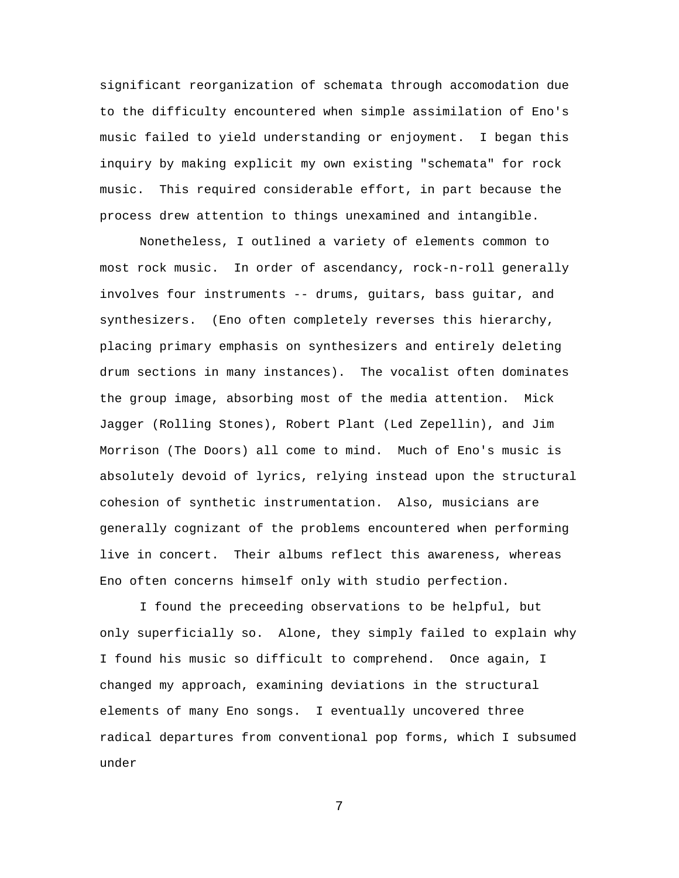significant reorganization of schemata through accomodation due to the difficulty encountered when simple assimilation of Eno's music failed to yield understanding or enjoyment. I began this inquiry by making explicit my own existing "schemata" for rock music. This required considerable effort, in part because the process drew attention to things unexamined and intangible.

Nonetheless, I outlined a variety of elements common to most rock music. In order of ascendancy, rock-n-roll generally involves four instruments -- drums, guitars, bass guitar, and synthesizers. (Eno often completely reverses this hierarchy, placing primary emphasis on synthesizers and entirely deleting drum sections in many instances). The vocalist often dominates the group image, absorbing most of the media attention. Mick Jagger (Rolling Stones), Robert Plant (Led Zepellin), and Jim Morrison (The Doors) all come to mind. Much of Eno's music is absolutely devoid of lyrics, relying instead upon the structural cohesion of synthetic instrumentation. Also, musicians are generally cognizant of the problems encountered when performing live in concert. Their albums reflect this awareness, whereas Eno often concerns himself only with studio perfection.

I found the preceeding observations to be helpful, but only superficially so. Alone, they simply failed to explain why I found his music so difficult to comprehend. Once again, I changed my approach, examining deviations in the structural elements of many Eno songs. I eventually uncovered three radical departures from conventional pop forms, which I subsumed under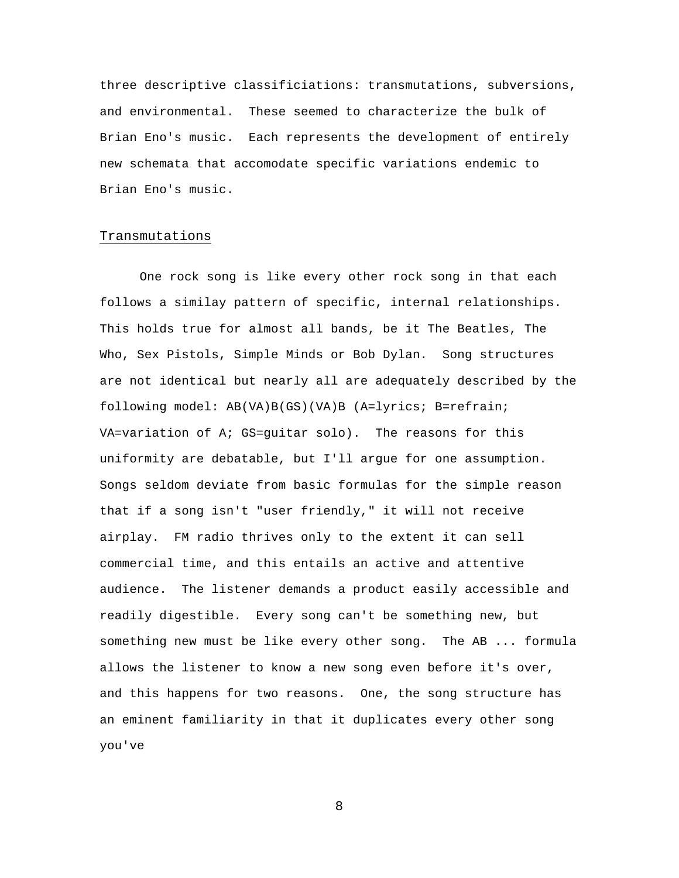three descriptive classificiations: transmutations, subversions, and environmental. These seemed to characterize the bulk of Brian Eno's music. Each represents the development of entirely new schemata that accomodate specific variations endemic to Brian Eno's music.

# Transmutations

One rock song is like every other rock song in that each follows a similay pattern of specific, internal relationships. This holds true for almost all bands, be it The Beatles, The Who, Sex Pistols, Simple Minds or Bob Dylan. Song structures are not identical but nearly all are adequately described by the following model: AB(VA)B(GS)(VA)B (A=lyrics; B=refrain; VA=variation of A; GS=guitar solo). The reasons for this uniformity are debatable, but I'll argue for one assumption. Songs seldom deviate from basic formulas for the simple reason that if a song isn't "user friendly," it will not receive airplay. FM radio thrives only to the extent it can sell commercial time, and this entails an active and attentive audience. The listener demands a product easily accessible and readily digestible. Every song can't be something new, but something new must be like every other song. The AB ... formula allows the listener to know a new song even before it's over, and this happens for two reasons. One, the song structure has an eminent familiarity in that it duplicates every other song you've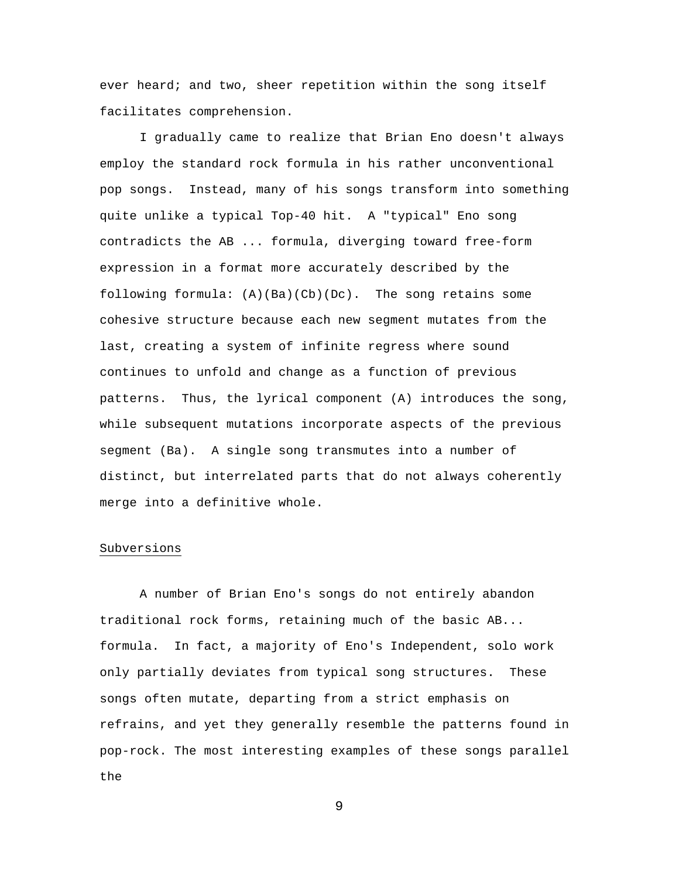ever heard; and two, sheer repetition within the song itself facilitates comprehension.

I gradually came to realize that Brian Eno doesn't always employ the standard rock formula in his rather unconventional pop songs. Instead, many of his songs transform into something quite unlike a typical Top-40 hit. A "typical" Eno song contradicts the AB ... formula, diverging toward free-form expression in a format more accurately described by the following formula: (A)(Ba)(Cb)(Dc). The song retains some cohesive structure because each new segment mutates from the last, creating a system of infinite regress where sound continues to unfold and change as a function of previous patterns. Thus, the lyrical component (A) introduces the song, while subsequent mutations incorporate aspects of the previous segment (Ba). A single song transmutes into a number of distinct, but interrelated parts that do not always coherently merge into a definitive whole.

## Subversions

A number of Brian Eno's songs do not entirely abandon traditional rock forms, retaining much of the basic AB... formula. In fact, a majority of Eno's Independent, solo work only partially deviates from typical song structures. These songs often mutate, departing from a strict emphasis on refrains, and yet they generally resemble the patterns found in pop-rock. The most interesting examples of these songs parallel the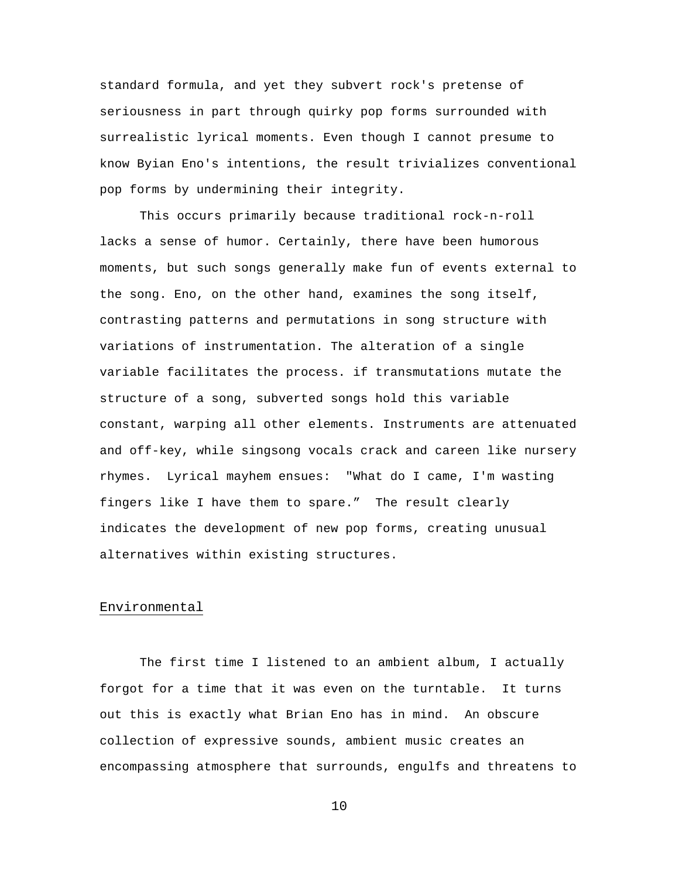standard formula, and yet they subvert rock's pretense of seriousness in part through quirky pop forms surrounded with surrealistic lyrical moments. Even though I cannot presume to know Byian Eno's intentions, the result trivializes conventional pop forms by undermining their integrity.

This occurs primarily because traditional rock-n-roll lacks a sense of humor. Certainly, there have been humorous moments, but such songs generally make fun of events external to the song. Eno, on the other hand, examines the song itself, contrasting patterns and permutations in song structure with variations of instrumentation. The alteration of a single variable facilitates the process. if transmutations mutate the structure of a song, subverted songs hold this variable constant, warping all other elements. Instruments are attenuated and off-key, while singsong vocals crack and careen like nursery rhymes. Lyrical mayhem ensues: "What do I came, I'm wasting fingers like I have them to spare." The result clearly indicates the development of new pop forms, creating unusual alternatives within existing structures.

### Environmental

The first time I listened to an ambient album, I actually forgot for a time that it was even on the turntable. It turns out this is exactly what Brian Eno has in mind. An obscure collection of expressive sounds, ambient music creates an encompassing atmosphere that surrounds, engulfs and threatens to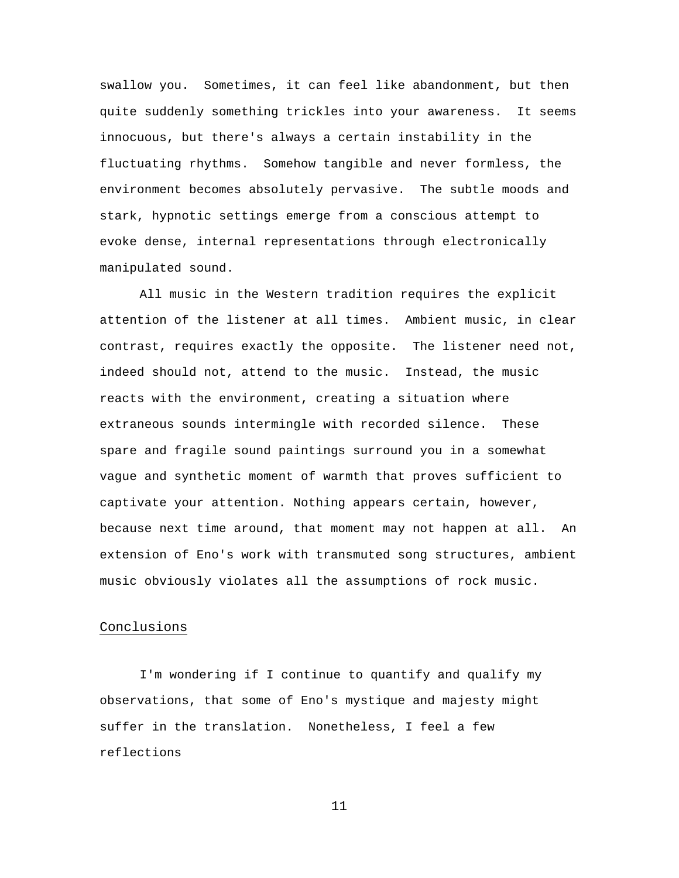swallow you. Sometimes, it can feel like abandonment, but then quite suddenly something trickles into your awareness. It seems innocuous, but there's always a certain instability in the fluctuating rhythms. Somehow tangible and never formless, the environment becomes absolutely pervasive. The subtle moods and stark, hypnotic settings emerge from a conscious attempt to evoke dense, internal representations through electronically manipulated sound.

All music in the Western tradition requires the explicit attention of the listener at all times. Ambient music, in clear contrast, requires exactly the opposite. The listener need not, indeed should not, attend to the music. Instead, the music reacts with the environment, creating a situation where extraneous sounds intermingle with recorded silence. These spare and fragile sound paintings surround you in a somewhat vague and synthetic moment of warmth that proves sufficient to captivate your attention. Nothing appears certain, however, because next time around, that moment may not happen at all. An extension of Eno's work with transmuted song structures, ambient music obviously violates all the assumptions of rock music.

## Conclusions

I'm wondering if I continue to quantify and qualify my observations, that some of Eno's mystique and majesty might suffer in the translation. Nonetheless, I feel a few reflections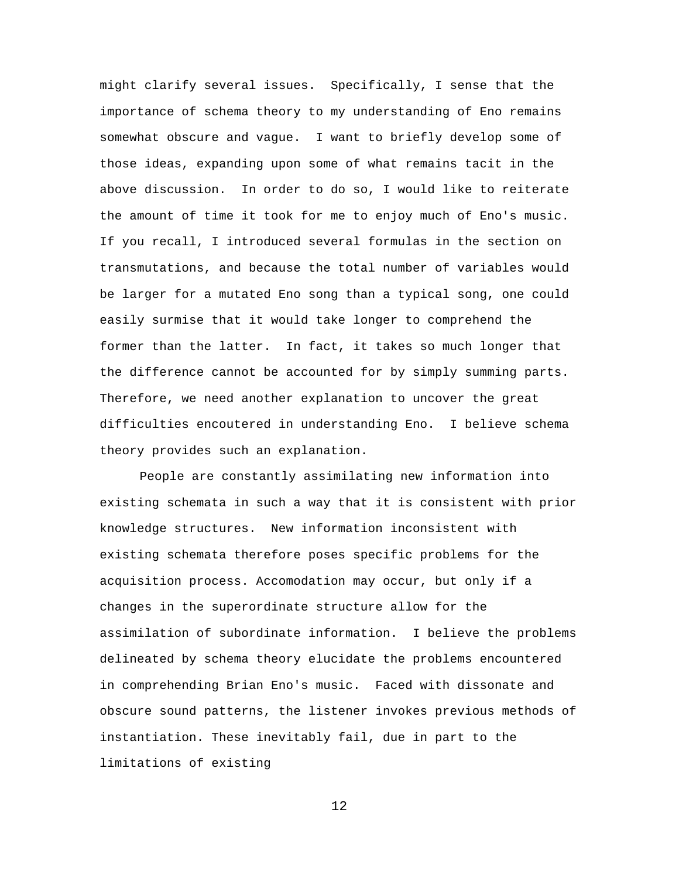might clarify several issues. Specifically, I sense that the importance of schema theory to my understanding of Eno remains somewhat obscure and vague. I want to briefly develop some of those ideas, expanding upon some of what remains tacit in the above discussion. In order to do so, I would like to reiterate the amount of time it took for me to enjoy much of Eno's music. If you recall, I introduced several formulas in the section on transmutations, and because the total number of variables would be larger for a mutated Eno song than a typical song, one could easily surmise that it would take longer to comprehend the former than the latter. In fact, it takes so much longer that the difference cannot be accounted for by simply summing parts. Therefore, we need another explanation to uncover the great difficulties encoutered in understanding Eno. I believe schema theory provides such an explanation.

People are constantly assimilating new information into existing schemata in such a way that it is consistent with prior knowledge structures. New information inconsistent with existing schemata therefore poses specific problems for the acquisition process. Accomodation may occur, but only if a changes in the superordinate structure allow for the assimilation of subordinate information. I believe the problems delineated by schema theory elucidate the problems encountered in comprehending Brian Eno's music. Faced with dissonate and obscure sound patterns, the listener invokes previous methods of instantiation. These inevitably fail, due in part to the limitations of existing